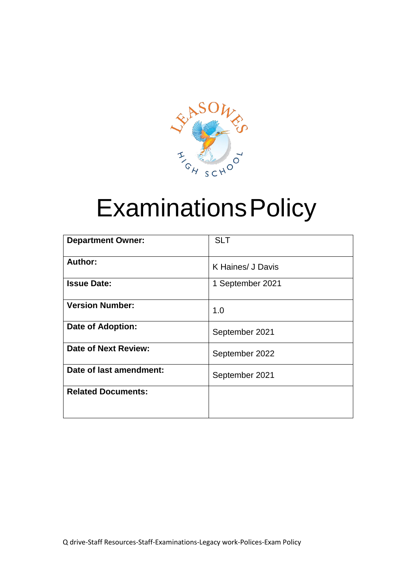

# ExaminationsPolicy

| <b>Department Owner:</b>  | <b>SLT</b>        |
|---------------------------|-------------------|
| Author:                   | K Haines/ J Davis |
| <b>Issue Date:</b>        | 1 September 2021  |
| <b>Version Number:</b>    | 1.0               |
| <b>Date of Adoption:</b>  | September 2021    |
| Date of Next Review:      | September 2022    |
| Date of last amendment:   | September 2021    |
| <b>Related Documents:</b> |                   |
|                           |                   |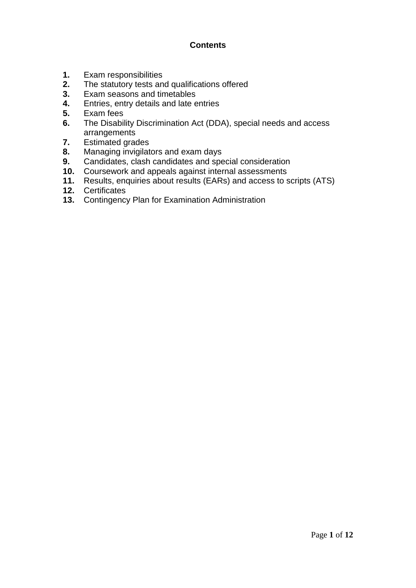# **Contents**

- **1.** Exam responsibilities
- **2.** The statutory tests and qualifications offered
- **3.** Exam seasons and timetables
- **4.** Entries, entry details and late entries
- **5.** Exam fees
- **6.** The Disability Discrimination Act (DDA), special needs and access arrangements
- **7.** Estimated grades
- **8.** Managing invigilators and exam days
- **9.** Candidates, clash candidates and special consideration
- **10.** Coursework and appeals against internal assessments
- **11.** Results, enquiries about results (EARs) and access to scripts (ATS)
- **12.** Certificates
- **13.** Contingency Plan for Examination Administration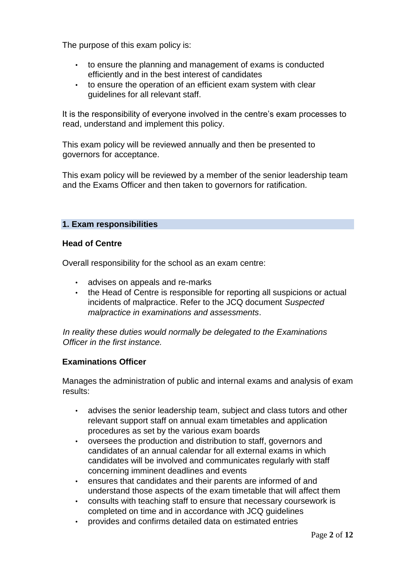The purpose of this exam policy is:

- to ensure the planning and management of exams is conducted efficiently and in the best interest of candidates
- to ensure the operation of an efficient exam system with clear guidelines for all relevant staff.

It is the responsibility of everyone involved in the centre's exam processes to read, understand and implement this policy.

This exam policy will be reviewed annually and then be presented to governors for acceptance.

This exam policy will be reviewed by a member of the senior leadership team and the Exams Officer and then taken to governors for ratification.

# **1. Exam responsibilities**

#### **Head of Centre**

Overall responsibility for the school as an exam centre:

- advises on appeals and re-marks
- the Head of Centre is responsible for reporting all suspicions or actual incidents of malpractice. Refer to the JCQ document *Suspected malpractice in examinations and assessments*.

*In reality these duties would normally be delegated to the Examinations Officer in the first instance.*

#### **Examinations Officer**

Manages the administration of public and internal exams and analysis of exam results:

- advises the senior leadership team, subject and class tutors and other relevant support staff on annual exam timetables and application procedures as set by the various exam boards
- oversees the production and distribution to staff, governors and candidates of an annual calendar for all external exams in which candidates will be involved and communicates regularly with staff concerning imminent deadlines and events
- ensures that candidates and their parents are informed of and understand those aspects of the exam timetable that will affect them
- consults with teaching staff to ensure that necessary coursework is completed on time and in accordance with JCQ guidelines
- provides and confirms detailed data on estimated entries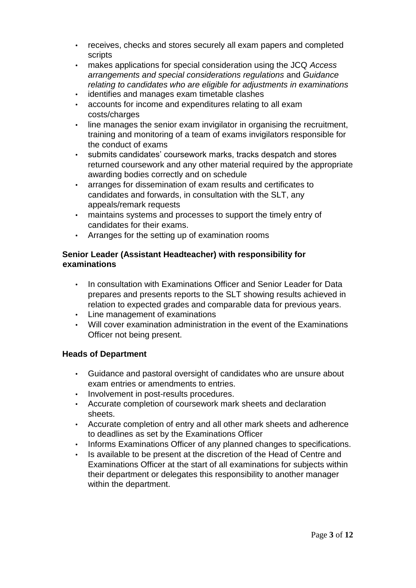- receives, checks and stores securely all exam papers and completed scripts
- makes applications for special consideration using the JCQ *Access arrangements and special considerations regulations* and *Guidance relating to candidates who are eligible for adjustments in examinations*
- identifies and manages exam timetable clashes
- accounts for income and expenditures relating to all exam costs/charges
- line manages the senior exam invigilator in organising the recruitment, training and monitoring of a team of exams invigilators responsible for the conduct of exams
- submits candidates' coursework marks, tracks despatch and stores returned coursework and any other material required by the appropriate awarding bodies correctly and on schedule
- arranges for dissemination of exam results and certificates to candidates and forwards, in consultation with the SLT, any appeals/remark requests
- maintains systems and processes to support the timely entry of candidates for their exams.
- Arranges for the setting up of examination rooms

# **Senior Leader (Assistant Headteacher) with responsibility for examinations**

- In consultation with Examinations Officer and Senior Leader for Data prepares and presents reports to the SLT showing results achieved in relation to expected grades and comparable data for previous years.
- Line management of examinations
- Will cover examination administration in the event of the Examinations Officer not being present.

# **Heads of Department**

- Guidance and pastoral oversight of candidates who are unsure about exam entries or amendments to entries.
- Involvement in post-results procedures.
- Accurate completion of coursework mark sheets and declaration sheets.
- Accurate completion of entry and all other mark sheets and adherence to deadlines as set by the Examinations Officer
- Informs Examinations Officer of any planned changes to specifications.
- Is available to be present at the discretion of the Head of Centre and Examinations Officer at the start of all examinations for subjects within their department or delegates this responsibility to another manager within the department.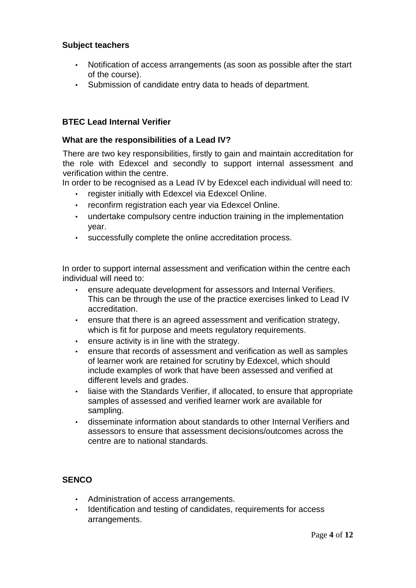# **Subject teachers**

- Notification of access arrangements (as soon as possible after the start of the course).
- Submission of candidate entry data to heads of department.

# **BTEC Lead Internal Verifier**

#### **What are the responsibilities of a Lead IV?**

There are two key responsibilities, firstly to gain and maintain accreditation for the role with Edexcel and secondly to support internal assessment and verification within the centre.

In order to be recognised as a Lead IV by Edexcel each individual will need to:

- register initially with Edexcel via Edexcel Online.
- reconfirm registration each year via Edexcel Online.
- undertake compulsory centre induction training in the implementation year.
- successfully complete the online accreditation process.

In order to support internal assessment and verification within the centre each individual will need to:

- ensure adequate development for assessors and Internal Verifiers. This can be through the use of the practice exercises linked to Lead IV accreditation.
- ensure that there is an agreed assessment and verification strategy, which is fit for purpose and meets regulatory requirements.
- ensure activity is in line with the strategy.
- ensure that records of assessment and verification as well as samples of learner work are retained for scrutiny by Edexcel, which should include examples of work that have been assessed and verified at different levels and grades.
- liaise with the Standards Verifier, if allocated, to ensure that appropriate samples of assessed and verified learner work are available for sampling.
- disseminate information about standards to other Internal Verifiers and assessors to ensure that assessment decisions/outcomes across the centre are to national standards.

#### **SENCO**

- Administration of access arrangements.
- Identification and testing of candidates, requirements for access arrangements.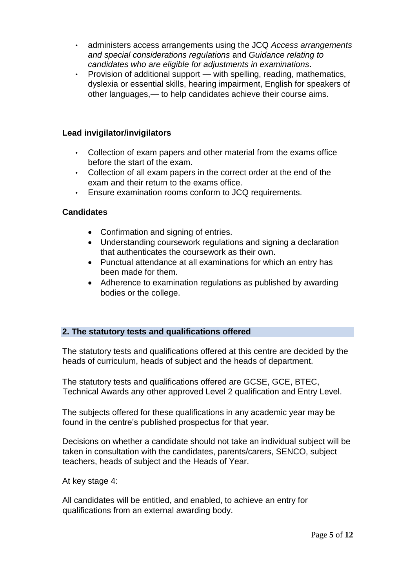- administers access arrangements using the JCQ *Access arrangements and special considerations regulations* and *Guidance relating to candidates who are eligible for adjustments in examinations*.
- Provision of additional support with spelling, reading, mathematics, dyslexia or essential skills, hearing impairment, English for speakers of other languages,— to help candidates achieve their course aims.

## **Lead invigilator/invigilators**

- Collection of exam papers and other material from the exams office before the start of the exam.
- Collection of all exam papers in the correct order at the end of the exam and their return to the exams office.
- Ensure examination rooms conform to JCQ requirements.

# **Candidates**

- Confirmation and signing of entries.
- Understanding coursework regulations and signing a declaration that authenticates the coursework as their own.
- Punctual attendance at all examinations for which an entry has been made for them.
- Adherence to examination regulations as published by awarding bodies or the college.

# **2. The statutory tests and qualifications offered**

The statutory tests and qualifications offered at this centre are decided by the heads of curriculum, heads of subject and the heads of department.

The statutory tests and qualifications offered are GCSE, GCE, BTEC, Technical Awards any other approved Level 2 qualification and Entry Level.

The subjects offered for these qualifications in any academic year may be found in the centre's published prospectus for that year.

Decisions on whether a candidate should not take an individual subject will be taken in consultation with the candidates, parents/carers, SENCO, subject teachers, heads of subject and the Heads of Year.

At key stage 4:

All candidates will be entitled, and enabled, to achieve an entry for qualifications from an external awarding body.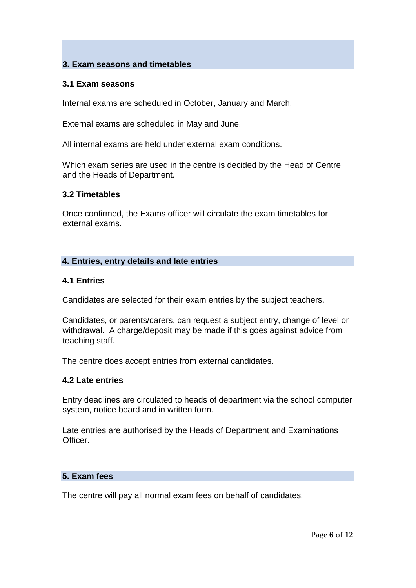# **3. Exam seasons and timetables**

#### **3.1 Exam seasons**

Internal exams are scheduled in October, January and March.

External exams are scheduled in May and June.

All internal exams are held under external exam conditions.

Which exam series are used in the centre is decided by the Head of Centre and the Heads of Department.

#### **3.2 Timetables**

Once confirmed, the Exams officer will circulate the exam timetables for external exams.

#### **4. Entries, entry details and late entries**

#### **4.1 Entries**

Candidates are selected for their exam entries by the subject teachers.

Candidates, or parents/carers, can request a subject entry, change of level or withdrawal. A charge/deposit may be made if this goes against advice from teaching staff.

The centre does accept entries from external candidates.

#### **4.2 Late entries**

Entry deadlines are circulated to heads of department via the school computer system, notice board and in written form.

Late entries are authorised by the Heads of Department and Examinations **Officer** 

#### **5. Exam fees**

The centre will pay all normal exam fees on behalf of candidates.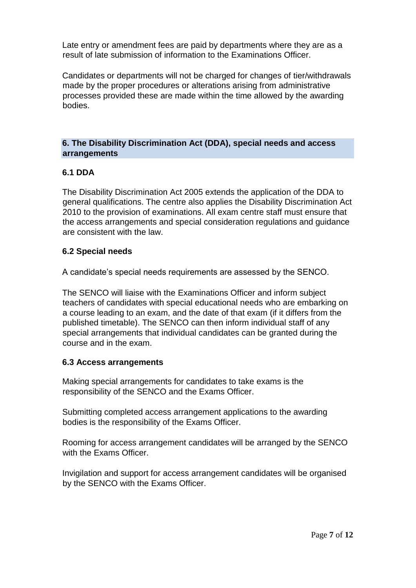Late entry or amendment fees are paid by departments where they are as a result of late submission of information to the Examinations Officer.

Candidates or departments will not be charged for changes of tier/withdrawals made by the proper procedures or alterations arising from administrative processes provided these are made within the time allowed by the awarding bodies.

# **6. The Disability Discrimination Act (DDA), special needs and access arrangements**

# **6.1 DDA**

The Disability Discrimination Act 2005 extends the application of the DDA to general qualifications. The centre also applies the Disability Discrimination Act 2010 to the provision of examinations. All exam centre staff must ensure that the access arrangements and special consideration regulations and guidance are consistent with the law.

#### **6.2 Special needs**

A candidate's special needs requirements are assessed by the SENCO.

The SENCO will liaise with the Examinations Officer and inform subject teachers of candidates with special educational needs who are embarking on a course leading to an exam, and the date of that exam (if it differs from the published timetable). The SENCO can then inform individual staff of any special arrangements that individual candidates can be granted during the course and in the exam.

# **6.3 Access arrangements**

Making special arrangements for candidates to take exams is the responsibility of the SENCO and the Exams Officer.

Submitting completed access arrangement applications to the awarding bodies is the responsibility of the Exams Officer.

Rooming for access arrangement candidates will be arranged by the SENCO with the Exams Officer.

Invigilation and support for access arrangement candidates will be organised by the SENCO with the Exams Officer.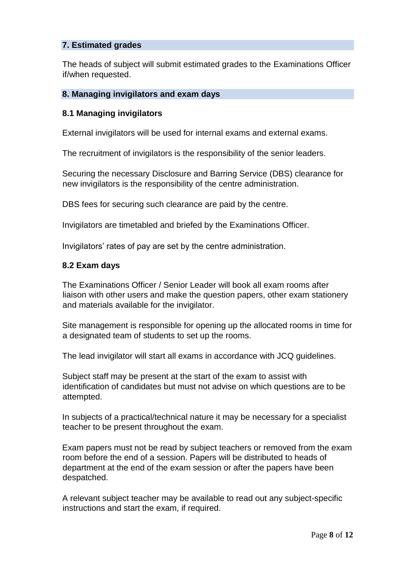# **7. Estimated grades**

The heads of subject will submit estimated grades to the Examinations Officer if/when requested.

#### **8. Managing invigilators and exam days**

#### **8.1 Managing invigilators**

External invigilators will be used for internal exams and external exams.

The recruitment of invigilators is the responsibility of the senior leaders.

Securing the necessary Disclosure and Barring Service (DBS) clearance for new invigilators is the responsibility of the centre administration.

DBS fees for securing such clearance are paid by the centre.

Invigilators are timetabled and briefed by the Examinations Officer.

Invigilators' rates of pay are set by the centre administration.

#### **8.2 Exam days**

The Examinations Officer / Senior Leader will book all exam rooms after liaison with other users and make the question papers, other exam stationery and materials available for the invigilator.

Site management is responsible for opening up the allocated rooms in time for a designated team of students to set up the rooms.

The lead invigilator will start all exams in accordance with JCQ guidelines.

Subject staff may be present at the start of the exam to assist with identification of candidates but must not advise on which questions are to be attempted.

In subjects of a practical/technical nature it may be necessary for a specialist teacher to be present throughout the exam.

Exam papers must not be read by subject teachers or removed from the exam room before the end of a session. Papers will be distributed to heads of department at the end of the exam session or after the papers have been despatched.

A relevant subject teacher may be available to read out any subject-specific instructions and start the exam, if required.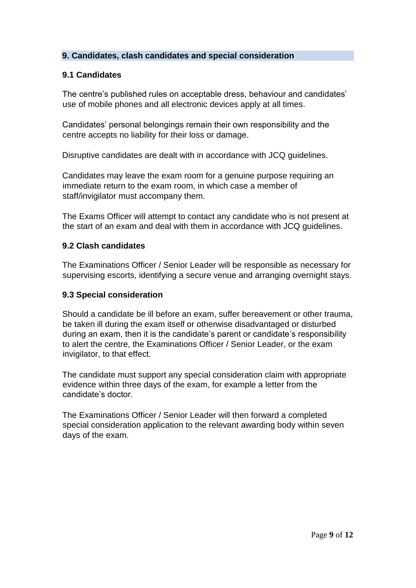# **9. Candidates, clash candidates and special consideration**

# **9.1 Candidates**

The centre's published rules on acceptable dress, behaviour and candidates' use of mobile phones and all electronic devices apply at all times.

Candidates' personal belongings remain their own responsibility and the centre accepts no liability for their loss or damage.

Disruptive candidates are dealt with in accordance with JCQ guidelines.

Candidates may leave the exam room for a genuine purpose requiring an immediate return to the exam room, in which case a member of staff/invigilator must accompany them.

The Exams Officer will attempt to contact any candidate who is not present at the start of an exam and deal with them in accordance with JCQ guidelines.

# **9.2 Clash candidates**

The Examinations Officer / Senior Leader will be responsible as necessary for supervising escorts, identifying a secure venue and arranging overnight stays.

#### **9.3 Special consideration**

Should a candidate be ill before an exam, suffer bereavement or other trauma, be taken ill during the exam itself or otherwise disadvantaged or disturbed during an exam, then it is the candidate's parent or candidate's responsibility to alert the centre, the Examinations Officer / Senior Leader, or the exam invigilator, to that effect.

The candidate must support any special consideration claim with appropriate evidence within three days of the exam, for example a letter from the candidate's doctor.

The Examinations Officer / Senior Leader will then forward a completed special consideration application to the relevant awarding body within seven days of the exam.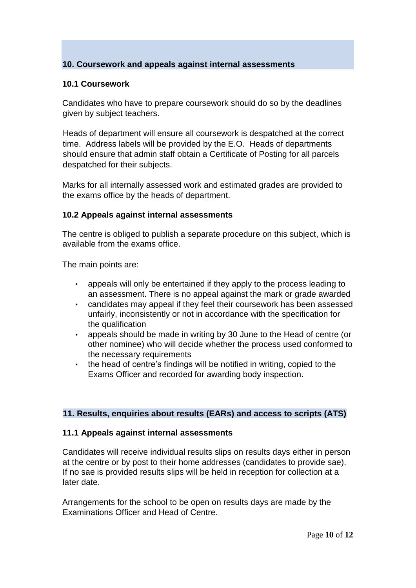# **10. Coursework and appeals against internal assessments**

#### **10.1 Coursework**

Candidates who have to prepare coursework should do so by the deadlines given by subject teachers.

Heads of department will ensure all coursework is despatched at the correct time. Address labels will be provided by the E.O. Heads of departments should ensure that admin staff obtain a Certificate of Posting for all parcels despatched for their subjects.

Marks for all internally assessed work and estimated grades are provided to the exams office by the heads of department.

#### **10.2 Appeals against internal assessments**

The centre is obliged to publish a separate procedure on this subject, which is available from the exams office.

The main points are:

- appeals will only be entertained if they apply to the process leading to an assessment. There is no appeal against the mark or grade awarded
- candidates may appeal if they feel their coursework has been assessed unfairly, inconsistently or not in accordance with the specification for the qualification
- appeals should be made in writing by 30 June to the Head of centre (or other nominee) who will decide whether the process used conformed to the necessary requirements
- the head of centre's findings will be notified in writing, copied to the Exams Officer and recorded for awarding body inspection.

#### **11. Results, enquiries about results (EARs) and access to scripts (ATS)**

#### **11.1 Appeals against internal assessments**

Candidates will receive individual results slips on results days either in person at the centre or by post to their home addresses (candidates to provide sae). If no sae is provided results slips will be held in reception for collection at a later date.

Arrangements for the school to be open on results days are made by the Examinations Officer and Head of Centre.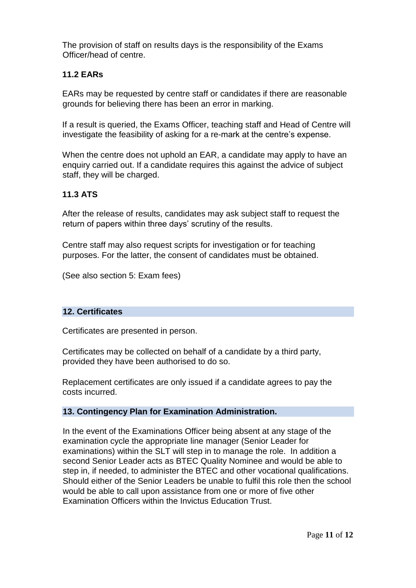The provision of staff on results days is the responsibility of the Exams Officer/head of centre.

# **11.2 EARs**

EARs may be requested by centre staff or candidates if there are reasonable grounds for believing there has been an error in marking.

If a result is queried, the Exams Officer, teaching staff and Head of Centre will investigate the feasibility of asking for a re-mark at the centre's expense.

When the centre does not uphold an EAR, a candidate may apply to have an enquiry carried out. If a candidate requires this against the advice of subject staff, they will be charged.

# **11.3 ATS**

After the release of results, candidates may ask subject staff to request the return of papers within three days' scrutiny of the results.

Centre staff may also request scripts for investigation or for teaching purposes. For the latter, the consent of candidates must be obtained.

(See also section 5: Exam fees)

#### **12. Certificates**

Certificates are presented in person.

Certificates may be collected on behalf of a candidate by a third party, provided they have been authorised to do so.

Replacement certificates are only issued if a candidate agrees to pay the costs incurred.

#### **13. Contingency Plan for Examination Administration.**

In the event of the Examinations Officer being absent at any stage of the examination cycle the appropriate line manager (Senior Leader for examinations) within the SLT will step in to manage the role. In addition a second Senior Leader acts as BTEC Quality Nominee and would be able to step in, if needed, to administer the BTEC and other vocational qualifications. Should either of the Senior Leaders be unable to fulfil this role then the school would be able to call upon assistance from one or more of five other Examination Officers within the Invictus Education Trust.